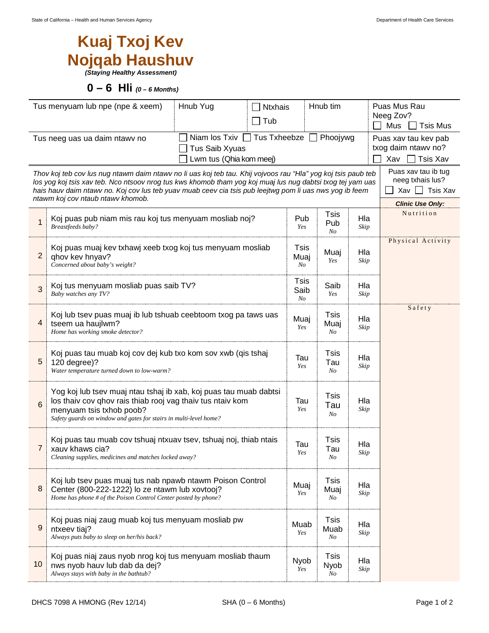## **Kuaj Txoj Kev Nojqab Haushuv**

*(Staying Healthy Assessment)* 

 **0 – 6 Hli** *(0 – 6 Months)* 

|                                                                                                                                                                                                                                                                                                                                                                                                                                                                          | Tus menyuam lub npe (npe & xeem)<br>Hnub Yug<br><b>Ntxhais</b><br>$\Box$ Tub                                                                                                                                                     |                    | Hnub tim                  |             | Puas Mus Rau<br>Neeg Zov?<br>$Mus$ Tsis Mus |  |  |
|--------------------------------------------------------------------------------------------------------------------------------------------------------------------------------------------------------------------------------------------------------------------------------------------------------------------------------------------------------------------------------------------------------------------------------------------------------------------------|----------------------------------------------------------------------------------------------------------------------------------------------------------------------------------------------------------------------------------|--------------------|---------------------------|-------------|---------------------------------------------|--|--|
| Tus neeg uas ua daim ntawy no                                                                                                                                                                                                                                                                                                                                                                                                                                            | Puas xav tau kev pab<br>txog daim ntawy no?<br><b>Tsis Xav</b><br>Xav                                                                                                                                                            |                    |                           |             |                                             |  |  |
| Puas xav tau ib tug<br>Thov koj teb cov lus nug ntawm daim ntawv no li uas koj teb tau. Khij vojvoos rau "Hla" yog koj tsis paub teb<br>neeg txhais lus?<br>los yog koj tsis xav teb. Nco ntsoov nrog tus kws khomob tham yog koj muaj lus nug dabtsi txog tej yam uas<br>Xav $\Box$ Tsis Xav<br>hais hauv daim ntawv no. Koj cov lus teb yuav muab ceev cia tsis pub leejtwg pom li uas nws yog ib feem<br>ntawm koj cov ntaub ntawv khomob.<br><b>Clinic Use Only:</b> |                                                                                                                                                                                                                                  |                    |                           |             |                                             |  |  |
|                                                                                                                                                                                                                                                                                                                                                                                                                                                                          | Koj puas pub niam mis rau koj tus menyuam mosliab noj?<br>Breastfeeds baby?                                                                                                                                                      | Pub<br>Yes         | Tsis<br>Pub<br>No         | Hla<br>Skip | Nutrition                                   |  |  |
| 2                                                                                                                                                                                                                                                                                                                                                                                                                                                                        | Koj puas muaj kev txhawj xeeb txog koj tus menyuam mosliab<br>qhov kev hnyav?<br>Concerned about baby's weight?                                                                                                                  | Tsis<br>Muaj<br>No | Muaj<br>Yes               | Hla<br>Skip | Physical Activity                           |  |  |
| 3                                                                                                                                                                                                                                                                                                                                                                                                                                                                        | Koj tus menyuam mosliab puas saib TV?<br>Baby watches any TV?                                                                                                                                                                    | Tsis<br>Saib<br>No | Saib<br>Yes               | Hla<br>Skip |                                             |  |  |
| 4                                                                                                                                                                                                                                                                                                                                                                                                                                                                        | Koj lub tsev puas muaj ib lub tshuab ceebtoom txog pa taws uas<br>tseem ua haujlwm?<br>Home has working smoke detector?                                                                                                          | Muaj<br>Yes        | <b>Tsis</b><br>Muaj<br>No | Hla<br>Skip | Safety                                      |  |  |
| 5                                                                                                                                                                                                                                                                                                                                                                                                                                                                        | Koj puas tau muab koj cov dej kub txo kom sov xwb (qis tshaj<br>120 degree)?<br>Water temperature turned down to low-warm?                                                                                                       | Tau<br>Yes         | <b>Tsis</b><br>Tau<br>No  | Hla<br>Skip |                                             |  |  |
| 6                                                                                                                                                                                                                                                                                                                                                                                                                                                                        | Yog koj lub tsev muaj ntau tshaj ib xab, koj puas tau muab dabtsi<br>los thaiv cov qhov rais thiab rooj vag thaiv tus ntaiv kom<br>menyuam tsis txhob poob?<br>Safety guards on window and gates for stairs in multi-level home? | Tau<br>Yes         | <b>Tsis</b><br>Tau<br>No  | Hla<br>Skip |                                             |  |  |
| 7                                                                                                                                                                                                                                                                                                                                                                                                                                                                        | Koj puas tau muab cov tshuaj ntxuav tsev, tshuaj noj, thiab ntais<br>xauv khaws cia?<br>Cleaning supplies, medicines and matches locked away?                                                                                    | Tau<br>Yes         | Tsis<br>Tau<br>No         | Hla<br>Skip |                                             |  |  |
| 8                                                                                                                                                                                                                                                                                                                                                                                                                                                                        | Koj lub tsev puas muaj tus nab npawb ntawm Poison Control<br>Center (800-222-1222) lo ze ntawm lub xovtooj?<br>Home has phone # of the Poison Control Center posted by phone?                                                    | Muaj<br>Yes        | <b>Tsis</b><br>Muaj<br>No | Hla<br>Skip |                                             |  |  |
| 9                                                                                                                                                                                                                                                                                                                                                                                                                                                                        | Koj puas niaj zaug muab koj tus menyuam mosliab pw<br>ntxeev tiaj?<br>Always puts baby to sleep on her/his back?                                                                                                                 | Muab<br>Yes        | <b>Tsis</b><br>Muab<br>No | Hla<br>Skip |                                             |  |  |
| 10                                                                                                                                                                                                                                                                                                                                                                                                                                                                       | Koj puas niaj zaus nyob nrog koj tus menyuam mosliab thaum<br>nws nyob hauv lub dab da dej?<br>Always stays with baby in the bathtub?                                                                                            | Nyob<br>Yes        | <b>Tsis</b><br>Nyob<br>No | Hla<br>Skip |                                             |  |  |